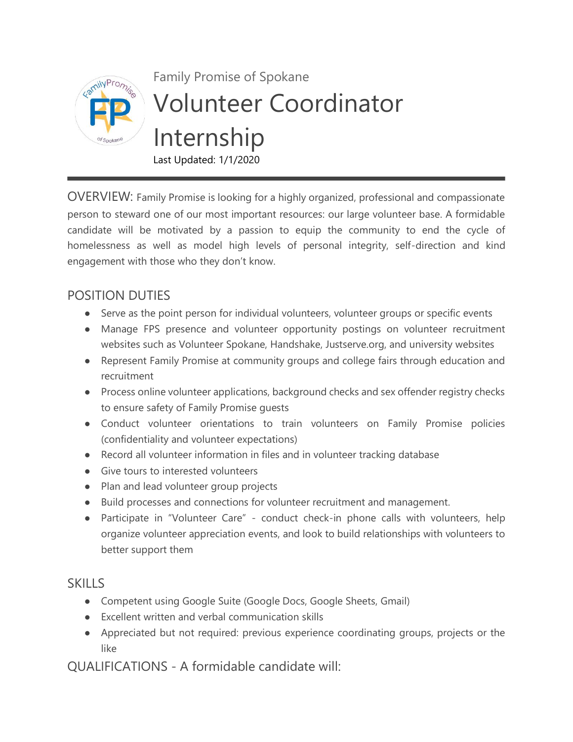

OVERVIEW: Family Promise is looking for a highly organized, professional and compassionate person to steward one of our most important resources: our large volunteer base. A formidable candidate will be motivated by a passion to equip the community to end the cycle of homelessness as well as model high levels of personal integrity, self-direction and kind engagement with those who they don't know.

## POSITION DUTIES

- Serve as the point person for individual volunteers, volunteer groups or specific events
- Manage FPS presence and volunteer opportunity postings on volunteer recruitment websites such as Volunteer Spokane, Handshake, Justserve.org, and university websites
- Represent Family Promise at community groups and college fairs through education and recruitment
- Process online volunteer applications, background checks and sex offender registry checks to ensure safety of Family Promise guests
- Conduct volunteer orientations to train volunteers on Family Promise policies (confidentiality and volunteer expectations)
- Record all volunteer information in files and in volunteer tracking database
- Give tours to interested volunteers
- Plan and lead volunteer group projects
- Build processes and connections for volunteer recruitment and management.
- Participate in "Volunteer Care" conduct check-in phone calls with volunteers, help organize volunteer appreciation events, and look to build relationships with volunteers to better support them

## **SKILLS**

- Competent using Google Suite (Google Docs, Google Sheets, Gmail)
- Excellent written and verbal communication skills
- Appreciated but not required: previous experience coordinating groups, projects or the like

QUALIFICATIONS - A formidable candidate will: